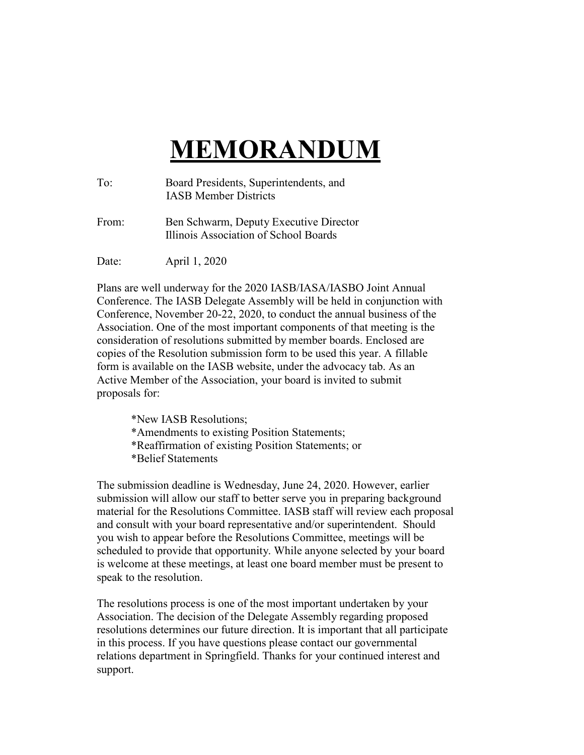## **MEMORANDUM**

| To:   | Board Presidents, Superintendents, and<br><b>IASB Member Districts</b>          |
|-------|---------------------------------------------------------------------------------|
| From: | Ben Schwarm, Deputy Executive Director<br>Illinois Association of School Boards |
| Date: | April 1, 2020                                                                   |

Plans are well underway for the 2020 IASB/IASA/IASBO Joint Annual Conference. The IASB Delegate Assembly will be held in conjunction with Conference, November 20-22, 2020, to conduct the annual business of the Association. One of the most important components of that meeting is the consideration of resolutions submitted by member boards. Enclosed are copies of the Resolution submission form to be used this year. A fillable form is available on the IASB website, under the advocacy tab. As an Active Member of the Association, your board is invited to submit proposals for:

\*New IASB Resolutions; \*Amendments to existing Position Statements; \*Reaffirmation of existing Position Statements; or \*Belief Statements

The submission deadline is Wednesday, June 24, 2020. However, earlier submission will allow our staff to better serve you in preparing background material for the Resolutions Committee. IASB staff will review each proposal and consult with your board representative and/or superintendent. Should you wish to appear before the Resolutions Committee, meetings will be scheduled to provide that opportunity. While anyone selected by your board is welcome at these meetings, at least one board member must be present to speak to the resolution.

The resolutions process is one of the most important undertaken by your Association. The decision of the Delegate Assembly regarding proposed resolutions determines our future direction. It is important that all participate in this process. If you have questions please contact our governmental relations department in Springfield. Thanks for your continued interest and support.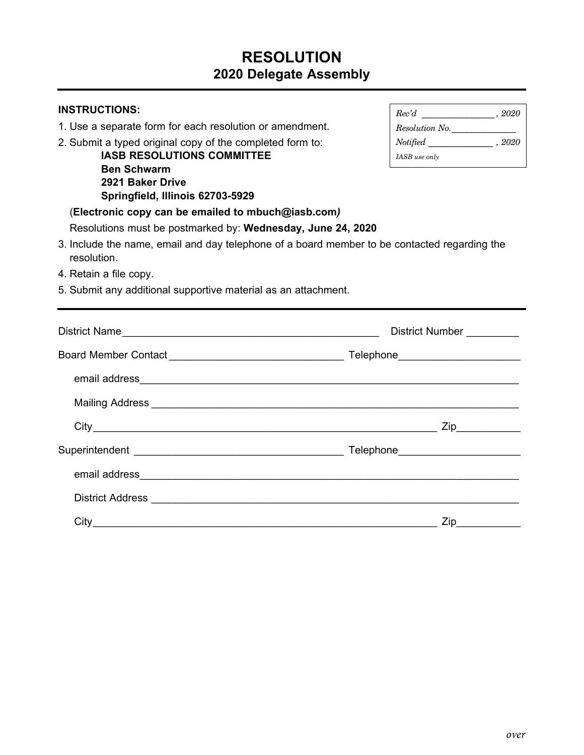## **RESOLUTION 2020 Delegate Assembly**

| <b>INSTRUCTIONS:</b>                                                                                                                                                                                                           |                                                                                                                                                                       |  |
|--------------------------------------------------------------------------------------------------------------------------------------------------------------------------------------------------------------------------------|-----------------------------------------------------------------------------------------------------------------------------------------------------------------------|--|
| 1. Use a separate form for each resolution or amendment.                                                                                                                                                                       | $\label{eq:resolution} Resolution~No. \underline{\hspace{2cm}}$                                                                                                       |  |
| 2. Submit a typed original copy of the completed form to:                                                                                                                                                                      | $\label{thm:rot} {\it Notified} \begin{tabular}{l} \multicolumn{2}{c}{\textbf{1}}\\ \multicolumn{2}{c}{\textbf{1}}\\ \multicolumn{2}{c}{\textbf{2020}} \end{tabular}$ |  |
| <b>IASB RESOLUTIONS COMMITTEE</b>                                                                                                                                                                                              | IASB use only                                                                                                                                                         |  |
| <b>Ben Schwarm</b>                                                                                                                                                                                                             |                                                                                                                                                                       |  |
| 2921 Baker Drive                                                                                                                                                                                                               |                                                                                                                                                                       |  |
| Springfield, Illinois 62703-5929                                                                                                                                                                                               |                                                                                                                                                                       |  |
| (Electronic copy can be emailed to mbuch@iasb.com)                                                                                                                                                                             |                                                                                                                                                                       |  |
| Resolutions must be postmarked by: Wednesday, June 24, 2020                                                                                                                                                                    |                                                                                                                                                                       |  |
| 3. Include the name, email and day telephone of a board member to be contacted regarding the<br>resolution.                                                                                                                    |                                                                                                                                                                       |  |
| 4. Retain a file copy.                                                                                                                                                                                                         |                                                                                                                                                                       |  |
| 5. Submit any additional supportive material as an attachment.                                                                                                                                                                 |                                                                                                                                                                       |  |
|                                                                                                                                                                                                                                |                                                                                                                                                                       |  |
|                                                                                                                                                                                                                                | District Number                                                                                                                                                       |  |
|                                                                                                                                                                                                                                |                                                                                                                                                                       |  |
|                                                                                                                                                                                                                                |                                                                                                                                                                       |  |
|                                                                                                                                                                                                                                |                                                                                                                                                                       |  |
|                                                                                                                                                                                                                                |                                                                                                                                                                       |  |
|                                                                                                                                                                                                                                |                                                                                                                                                                       |  |
|                                                                                                                                                                                                                                |                                                                                                                                                                       |  |
| District Address experience of the contract of the contract of the contract of the contract of the contract of the contract of the contract of the contract of the contract of the contract of the contract of the contract of |                                                                                                                                                                       |  |
|                                                                                                                                                                                                                                |                                                                                                                                                                       |  |
|                                                                                                                                                                                                                                | $\mathsf{Zip} \xrightarrow{\qquad \qquad }$                                                                                                                           |  |